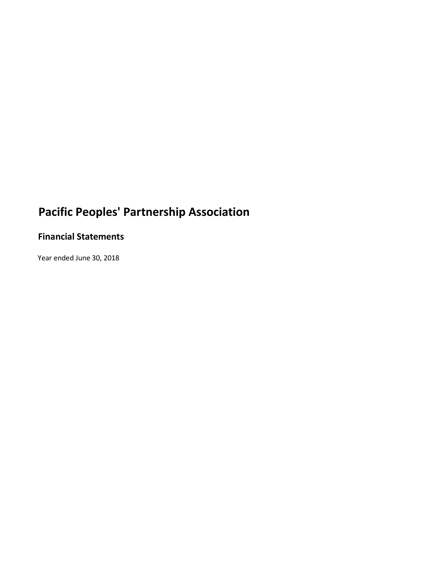### **Financial Statements**

Year ended June 30, 2018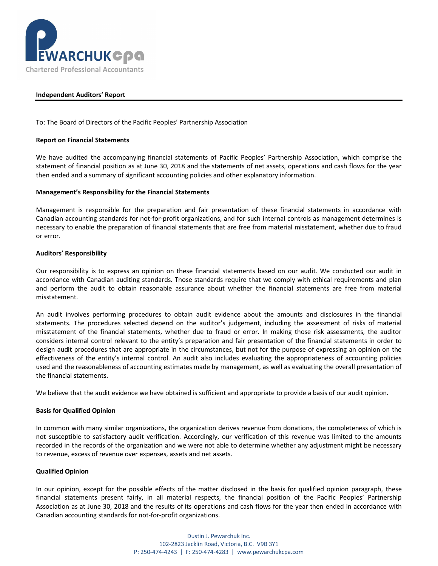

#### **Independent Auditors' Report**

To: The Board of Directors of the Pacific Peoples' Partnership Association

#### **Report on Financial Statements**

We have audited the accompanying financial statements of Pacific Peoples' Partnership Association, which comprise the statement of financial position as at June 30, 2018 and the statements of net assets, operations and cash flows for the year then ended and a summary of significant accounting policies and other explanatory information.

#### **Management's Responsibility for the Financial Statements**

Management is responsible for the preparation and fair presentation of these financial statements in accordance with Canadian accounting standards for not-for-profit organizations, and for such internal controls as management determines is necessary to enable the preparation of financial statements that are free from material misstatement, whether due to fraud or error.

#### **Auditors' Responsibility**

Our responsibility is to express an opinion on these financial statements based on our audit. We conducted our audit in accordance with Canadian auditing standards. Those standards require that we comply with ethical requirements and plan and perform the audit to obtain reasonable assurance about whether the financial statements are free from material misstatement.

An audit involves performing procedures to obtain audit evidence about the amounts and disclosures in the financial statements. The procedures selected depend on the auditor's judgement, including the assessment of risks of material misstatement of the financial statements, whether due to fraud or error. In making those risk assessments, the auditor considers internal control relevant to the entity's preparation and fair presentation of the financial statements in order to design audit procedures that are appropriate in the circumstances, but not for the purpose of expressing an opinion on the effectiveness of the entity's internal control. An audit also includes evaluating the appropriateness of accounting policies used and the reasonableness of accounting estimates made by management, as well as evaluating the overall presentation of the financial statements.

We believe that the audit evidence we have obtained is sufficient and appropriate to provide a basis of our audit opinion.

#### **Basis for Qualified Opinion**

In common with many similar organizations, the organization derives revenue from donations, the completeness of which is not susceptible to satisfactory audit verification. Accordingly, our verification of this revenue was limited to the amounts recorded in the records of the organization and we were not able to determine whether any adjustment might be necessary to revenue, excess of revenue over expenses, assets and net assets.

#### **Qualified Opinion**

In our opinion, except for the possible effects of the matter disclosed in the basis for qualified opinion paragraph, these financial statements present fairly, in all material respects, the financial position of the Pacific Peoples' Partnership Association as at June 30, 2018 and the results of its operations and cash flows for the year then ended in accordance with Canadian accounting standards for not-for-profit organizations.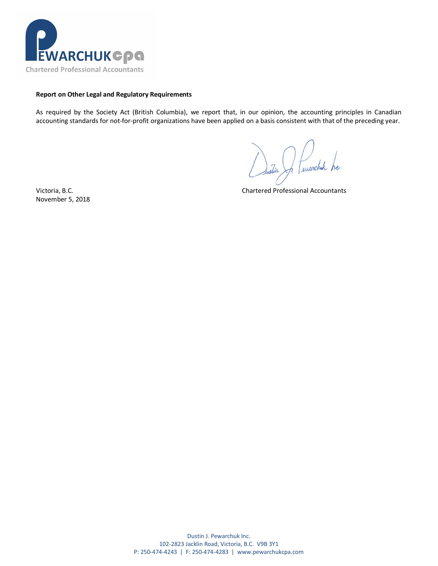

#### **Report on Other Legal and Regulatory Requirements**

As required by the Society Act (British Columbia), we report that, in our opinion, the accounting principles in Canadian accounting standards for not-for-profit organizations have been applied on a basis consistent with that of the preceding year.

Dustin & Leuanchek ho.

November 5, 2018

Victoria, B.C. Chartered Professional Accountants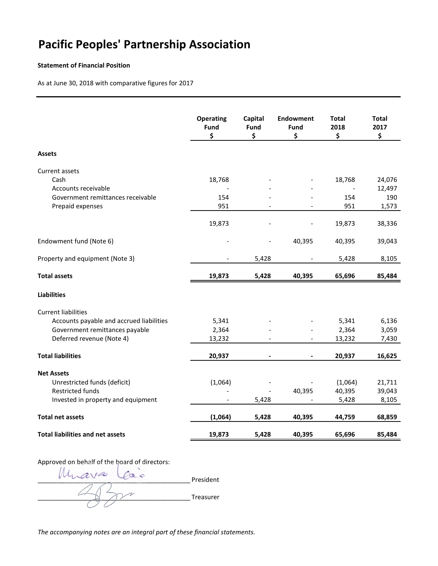#### **Statement of Financial Position**

As at June 30, 2018 with comparative figures for 2017

|                                          | <b>Operating</b><br>Fund<br>\$ | Capital<br>Fund<br>\$ | <b>Endowment</b><br>Fund<br>\$ | <b>Total</b><br>2018<br>\$ | Total<br>2017<br>\$ |
|------------------------------------------|--------------------------------|-----------------------|--------------------------------|----------------------------|---------------------|
| <b>Assets</b>                            |                                |                       |                                |                            |                     |
| Current assets                           |                                |                       |                                |                            |                     |
| Cash                                     | 18,768                         |                       |                                | 18,768                     | 24,076              |
| Accounts receivable                      | $\blacksquare$                 |                       |                                | $\overline{\phantom{0}}$   | 12,497              |
| Government remittances receivable        | 154                            |                       |                                | 154                        | 190                 |
| Prepaid expenses                         | 951                            |                       |                                | 951                        | 1,573               |
|                                          | 19,873                         |                       |                                | 19,873                     | 38,336              |
| Endowment fund (Note 6)                  |                                |                       | 40,395                         | 40,395                     | 39,043              |
| Property and equipment (Note 3)          |                                | 5,428                 |                                | 5,428                      | 8,105               |
| <b>Total assets</b>                      | 19,873                         | 5,428                 | 40,395                         | 65,696                     | 85,484              |
| <b>Liabilities</b>                       |                                |                       |                                |                            |                     |
| <b>Current liabilities</b>               |                                |                       |                                |                            |                     |
| Accounts payable and accrued liabilities | 5,341                          |                       |                                | 5,341                      | 6,136               |
| Government remittances payable           | 2,364                          |                       |                                | 2,364                      | 3,059               |
| Deferred revenue (Note 4)                | 13,232                         |                       |                                | 13,232                     | 7,430               |
| <b>Total liabilities</b>                 | 20,937                         |                       |                                | 20,937                     | 16,625              |
| <b>Net Assets</b>                        |                                |                       |                                |                            |                     |
| Unrestricted funds (deficit)             | (1,064)                        |                       |                                | (1,064)                    | 21,711              |
| <b>Restricted funds</b>                  |                                |                       | 40,395                         | 40,395                     | 39,043              |
| Invested in property and equipment       |                                | 5,428                 |                                | 5,428                      | 8,105               |
| <b>Total net assets</b>                  | (1,064)                        | 5,428                 | 40,395                         | 44,759                     | 68,859              |
| <b>Total liabilities and net assets</b>  | 19,873                         | 5,428                 | 40,395                         | 65,696                     | 85,484              |

Approved on behalf of the board of directors:

Muava Lai  $\overline{\mathscr{V}}$   $\overline{\mathscr{V}}$   $\overline{\mathscr{V}}$   $\overline{\mathscr{V}}$   $\overline{\mathscr{V}}$   $\overline{\mathscr{V}}$   $\overline{\mathscr{V}}$   $\overline{\mathscr{V}}$   $\overline{\mathscr{V}}$   $\overline{\mathscr{V}}$   $\overline{\mathscr{V}}$   $\overline{\mathscr{V}}$   $\overline{\mathscr{V}}$   $\overline{\mathscr{V}}$   $\overline{\mathscr{V}}$   $\overline{\mathscr{V}}$   $\overline{\mathscr{V}}$   $\overline{\mathscr{V}}$   $\overline{\$ 

*The accompanying notes are an integral part of these financial statements.*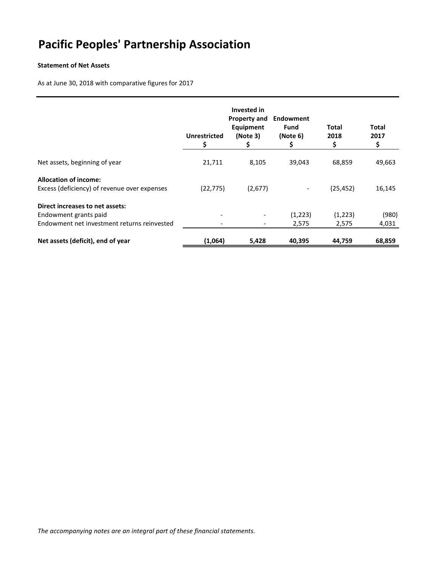#### **Statement of Net Assets**

As at June 30, 2018 with comparative figures for 2017

|                                                                                                         | <b>Unrestricted</b><br>\$ | <b>Invested in</b><br><b>Property and</b><br>Equipment<br>(Note 3)<br>\$ | Endowment<br>Fund<br>(Note 6)<br>\$ | Total<br>2018<br>\$ | Total<br>2017<br>\$ |
|---------------------------------------------------------------------------------------------------------|---------------------------|--------------------------------------------------------------------------|-------------------------------------|---------------------|---------------------|
| Net assets, beginning of year                                                                           | 21,711                    | 8,105                                                                    | 39,043                              | 68,859              | 49,663              |
| <b>Allocation of income:</b><br>Excess (deficiency) of revenue over expenses                            | (22, 775)                 | (2,677)                                                                  |                                     | (25, 452)           | 16,145              |
| Direct increases to net assets:<br>Endowment grants paid<br>Endowment net investment returns reinvested |                           |                                                                          | (1, 223)<br>2,575                   | (1,223)<br>2,575    | (980)<br>4,031      |
| Net assets (deficit), end of year                                                                       | (1,064)                   | 5,428                                                                    | 40,395                              | 44,759              | 68,859              |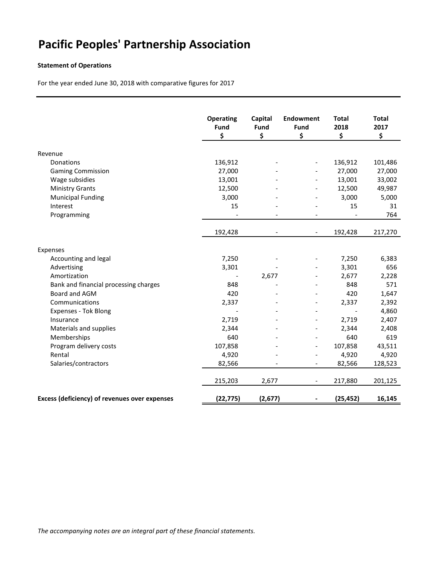#### **Statement of Operations**

For the year ended June 30, 2018 with comparative figures for 2017

|                                                      | <b>Operating</b><br>Fund<br>\$ | Capital<br>Fund<br>\$ | <b>Endowment</b><br>Fund<br>\$ | <b>Total</b><br>2018<br>\$ | <b>Total</b><br>2017<br>\$ |
|------------------------------------------------------|--------------------------------|-----------------------|--------------------------------|----------------------------|----------------------------|
| Revenue                                              |                                |                       |                                |                            |                            |
| Donations                                            | 136,912                        |                       |                                | 136,912                    | 101,486                    |
| <b>Gaming Commission</b>                             | 27,000                         |                       | $\blacksquare$                 | 27,000                     | 27,000                     |
| Wage subsidies                                       | 13,001                         |                       | $\overline{\phantom{a}}$       | 13,001                     | 33,002                     |
| <b>Ministry Grants</b>                               | 12,500                         |                       |                                | 12,500                     | 49,987                     |
| <b>Municipal Funding</b>                             | 3,000                          |                       |                                | 3,000                      | 5,000                      |
| Interest                                             | 15                             |                       |                                | 15                         | 31                         |
| Programming                                          |                                |                       |                                |                            | 764                        |
|                                                      | 192,428                        |                       | $\overline{\phantom{a}}$       | 192,428                    | 217,270                    |
| Expenses                                             |                                |                       |                                |                            |                            |
| Accounting and legal                                 | 7,250                          |                       |                                | 7,250                      | 6,383                      |
| Advertising                                          | 3,301                          |                       |                                | 3,301                      | 656                        |
| Amortization                                         |                                | 2,677                 |                                | 2,677                      | 2,228                      |
| Bank and financial processing charges                | 848                            |                       |                                | 848                        | 571                        |
| Board and AGM                                        | 420                            |                       |                                | 420                        | 1,647                      |
| Communications                                       | 2,337                          |                       |                                | 2,337                      | 2,392                      |
| Expenses - Tok Blong                                 |                                |                       |                                |                            | 4,860                      |
| Insurance                                            | 2,719                          |                       |                                | 2,719                      | 2,407                      |
| Materials and supplies                               | 2,344                          |                       |                                | 2,344                      | 2,408                      |
| Memberships                                          | 640                            |                       |                                | 640                        | 619                        |
| Program delivery costs                               | 107,858                        |                       | $\overline{\phantom{a}}$       | 107,858                    | 43,511                     |
| Rental                                               | 4,920                          |                       |                                | 4,920                      | 4,920                      |
| Salaries/contractors                                 | 82,566                         |                       | $\blacksquare$                 | 82,566                     | 128,523                    |
|                                                      | 215,203                        | 2,677                 | $\overline{\phantom{a}}$       | 217,880                    | 201,125                    |
| <b>Excess (deficiency) of revenues over expenses</b> | (22, 775)                      | (2,677)               | $\blacksquare$                 | (25, 452)                  | 16,145                     |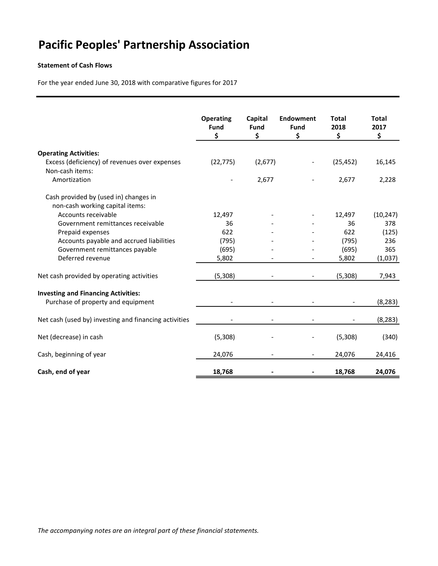#### **Statement of Cash Flows**

For the year ended June 30, 2018 with comparative figures for 2017

|                                                                                                  | <b>Operating</b><br><b>Fund</b><br>\$ | Capital<br><b>Fund</b><br>\$ | Endowment<br><b>Fund</b><br>\$ | <b>Total</b><br>2018<br>\$ | <b>Total</b><br>2017<br>\$ |
|--------------------------------------------------------------------------------------------------|---------------------------------------|------------------------------|--------------------------------|----------------------------|----------------------------|
|                                                                                                  |                                       |                              |                                |                            |                            |
| <b>Operating Activities:</b><br>Excess (deficiency) of revenues over expenses<br>Non-cash items: | (22, 775)                             | (2,677)                      |                                | (25, 452)                  | 16,145                     |
| Amortization                                                                                     |                                       | 2,677                        |                                | 2,677                      | 2,228                      |
| Cash provided by (used in) changes in<br>non-cash working capital items:                         |                                       |                              |                                |                            |                            |
| Accounts receivable                                                                              | 12,497                                |                              |                                | 12,497                     | (10, 247)                  |
| Government remittances receivable                                                                | 36                                    |                              |                                | 36                         | 378                        |
| Prepaid expenses                                                                                 | 622                                   |                              |                                | 622                        | (125)                      |
| Accounts payable and accrued liabilities                                                         | (795)                                 |                              |                                | (795)                      | 236                        |
| Government remittances payable                                                                   | (695)                                 |                              |                                | (695)                      | 365                        |
| Deferred revenue                                                                                 | 5,802                                 |                              |                                | 5,802                      | (1,037)                    |
| Net cash provided by operating activities                                                        | (5,308)                               |                              |                                | (5,308)                    | 7,943                      |
| <b>Investing and Financing Activities:</b>                                                       |                                       |                              |                                |                            |                            |
| Purchase of property and equipment                                                               |                                       |                              |                                |                            | (8, 283)                   |
| Net cash (used by) investing and financing activities                                            |                                       |                              |                                |                            | (8, 283)                   |
| Net (decrease) in cash                                                                           | (5,308)                               |                              |                                | (5,308)                    | (340)                      |
| Cash, beginning of year                                                                          | 24,076                                |                              |                                | 24,076                     | 24,416                     |
| Cash, end of year                                                                                | 18,768                                |                              |                                | 18,768                     | 24,076                     |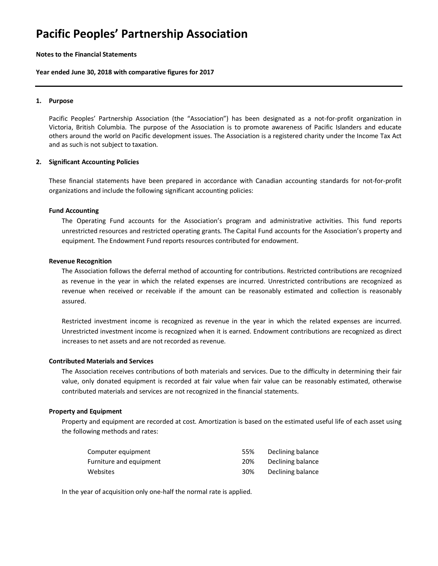#### **Notes to the Financial Statements**

#### **Year ended June 30, 2018 with comparative figures for 2017**

#### **1. Purpose**

Pacific Peoples' Partnership Association (the "Association") has been designated as a not-for-profit organization in Victoria, British Columbia. The purpose of the Association is to promote awareness of Pacific Islanders and educate others around the world on Pacific development issues. The Association is a registered charity under the Income Tax Act and as such is not subject to taxation.

#### **2. Significant Accounting Policies**

These financial statements have been prepared in accordance with Canadian accounting standards for not-for-profit organizations and include the following significant accounting policies:

#### **Fund Accounting**

The Operating Fund accounts for the Association's program and administrative activities. This fund reports unrestricted resources and restricted operating grants. The Capital Fund accounts for the Association's property and equipment. The Endowment Fund reports resources contributed for endowment.

#### **Revenue Recognition**

The Association follows the deferral method of accounting for contributions. Restricted contributions are recognized as revenue in the year in which the related expenses are incurred. Unrestricted contributions are recognized as revenue when received or receivable if the amount can be reasonably estimated and collection is reasonably assured.

Restricted investment income is recognized as revenue in the year in which the related expenses are incurred. Unrestricted investment income is recognized when it is earned. Endowment contributions are recognized as direct increases to net assets and are not recorded as revenue.

#### **Contributed Materials and Services**

The Association receives contributions of both materials and services. Due to the difficulty in determining their fair value, only donated equipment is recorded at fair value when fair value can be reasonably estimated, otherwise contributed materials and services are not recognized in the financial statements.

#### **Property and Equipment**

Property and equipment are recorded at cost. Amortization is based on the estimated useful life of each asset using the following methods and rates:

| Computer equipment      | 55% | Declining balance |
|-------------------------|-----|-------------------|
| Furniture and equipment | 20% | Declining balance |
| Websites                | 30% | Declining balance |

In the year of acquisition only one-half the normal rate is applied.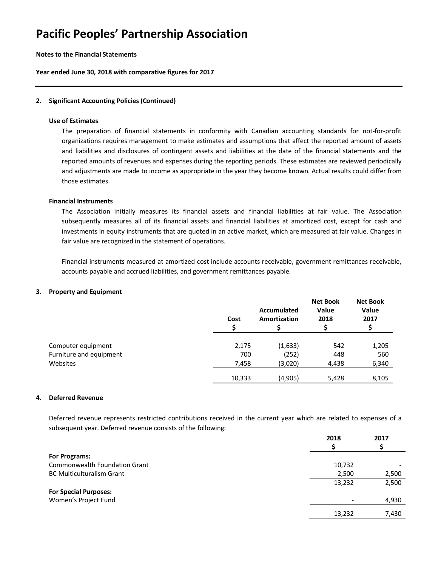**Notes to the Financial Statements**

**Year ended June 30, 2018 with comparative figures for 2017**

#### **2. Significant Accounting Policies (Continued)**

#### **Use of Estimates**

The preparation of financial statements in conformity with Canadian accounting standards for not-for-profit organizations requires management to make estimates and assumptions that affect the reported amount of assets and liabilities and disclosures of contingent assets and liabilities at the date of the financial statements and the reported amounts of revenues and expenses during the reporting periods. These estimates are reviewed periodically and adjustments are made to income as appropriate in the year they become known. Actual results could differ from those estimates.

#### **Financial Instruments**

The Association initially measures its financial assets and financial liabilities at fair value. The Association subsequently measures all of its financial assets and financial liabilities at amortized cost, except for cash and investments in equity instruments that are quoted in an active market, which are measured at fair value. Changes in fair value are recognized in the statement of operations.

Financial instruments measured at amortized cost include accounts receivable, government remittances receivable, accounts payable and accrued liabilities, and government remittances payable.

#### **3. Property and Equipment**

|                         | Cost   | Accumulated<br>Amortization | <b>Net Book</b><br><b>Value</b><br>2018 | <b>Net Book</b><br><b>Value</b><br>2017 |
|-------------------------|--------|-----------------------------|-----------------------------------------|-----------------------------------------|
|                         |        |                             |                                         |                                         |
| Computer equipment      | 2,175  | (1,633)                     | 542                                     | 1,205                                   |
| Furniture and equipment | 700    | (252)                       | 448                                     | 560                                     |
| Websites                | 7,458  | (3,020)                     | 4,438                                   | 6,340                                   |
|                         | 10,333 | (4, 905)                    | 5,428                                   | 8,105                                   |

#### **4. Deferred Revenue**

Deferred revenue represents restricted contributions received in the current year which are related to expenses of a subsequent year. Deferred revenue consists of the following:

|                                  | 2018   | 2017  |
|----------------------------------|--------|-------|
|                                  |        |       |
| <b>For Programs:</b>             |        |       |
| Commonwealth Foundation Grant    | 10,732 |       |
| <b>BC Multiculturalism Grant</b> | 2,500  | 2,500 |
|                                  | 13,232 | 2,500 |
| <b>For Special Purposes:</b>     |        |       |
| Women's Project Fund             |        | 4,930 |
|                                  | 13,232 | 7,430 |